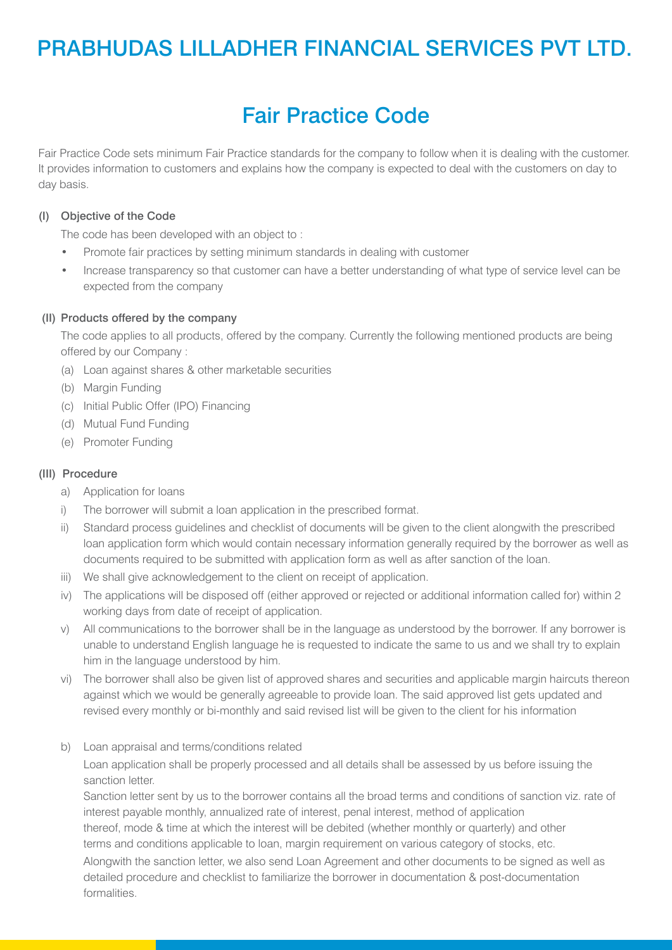## PRABHUDAS LILLADHER FINANCIAL SERVICES PVT LTD.

# Fair Practice Code

Fair Practice Code sets minimum Fair Practice standards for the company to follow when it is dealing with the customer. It provides information to customers and explains how the company is expected to deal with the customers on day to day basis.

### (I) Objective of the Code

The code has been developed with an object to :

- Promote fair practices by setting minimum standards in dealing with customer
- Increase transparency so that customer can have a better understanding of what type of service level can be expected from the company

#### (II) Products offered by the company

 The code applies to all products, offered by the company. Currently the following mentioned products are being offered by our Company :

- (a) Loan against shares & other marketable securities
- (b) Margin Funding
- (c) Initial Public Offer (IPO) Financing
- (d) Mutual Fund Funding
- (e) Promoter Funding

#### (III) Procedure

- a) Application for loans
- i) The borrower will submit a loan application in the prescribed format.
- ii) Standard process guidelines and checklist of documents will be given to the client alongwith the prescribed loan application form which would contain necessary information generally required by the borrower as well as documents required to be submitted with application form as well as after sanction of the loan.
- iii) We shall give acknowledgement to the client on receipt of application.
- iv) The applications will be disposed off (either approved or rejected or additional information called for) within 2 working days from date of receipt of application.
- v) All communications to the borrower shall be in the language as understood by the borrower. If any borrower is unable to understand English language he is requested to indicate the same to us and we shall try to explain him in the language understood by him.
- vi) The borrower shall also be given list of approved shares and securities and applicable margin haircuts thereon against which we would be generally agreeable to provide loan. The said approved list gets updated and revised every monthly or bi-monthly and said revised list will be given to the client for his information
- b) Loan appraisal and terms/conditions related

 Loan application shall be properly processed and all details shall be assessed by us before issuing the sanction letter.

 Sanction letter sent by us to the borrower contains all the broad terms and conditions of sanction viz. rate of interest payable monthly, annualized rate of interest, penal interest, method of application thereof, mode & time at which the interest will be debited (whether monthly or quarterly) and other terms and conditions applicable to loan, margin requirement on various category of stocks, etc.

 Alongwith the sanction letter, we also send Loan Agreement and other documents to be signed as well as detailed procedure and checklist to familiarize the borrower in documentation & post-documentation formalities.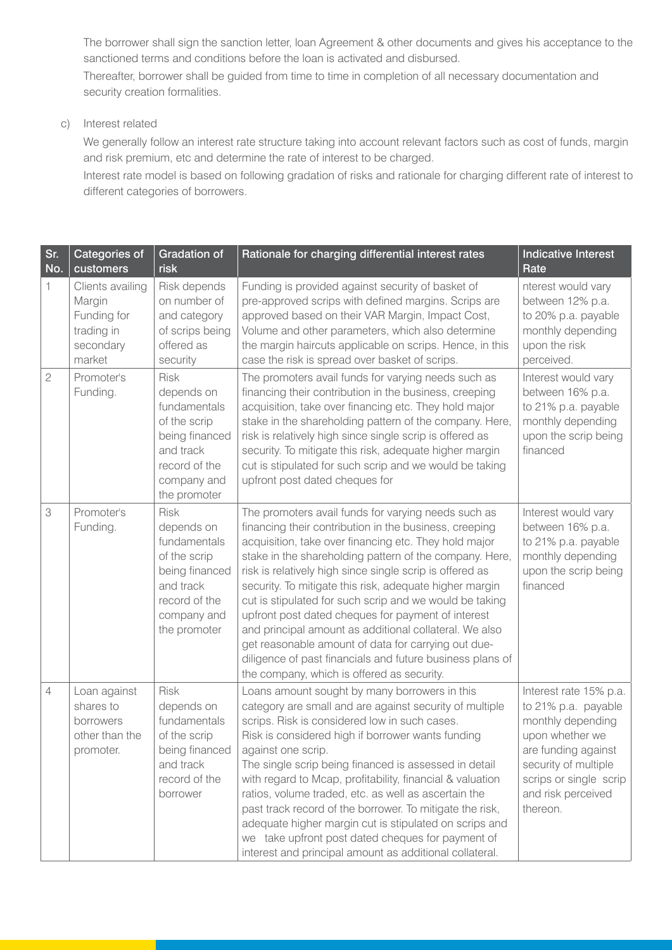The borrower shall sign the sanction letter, loan Agreement & other documents and gives his acceptance to the sanctioned terms and conditions before the loan is activated and disbursed.

 Thereafter, borrower shall be guided from time to time in completion of all necessary documentation and security creation formalities.

c) Interest related

 We generally follow an interest rate structure taking into account relevant factors such as cost of funds, margin and risk premium, etc and determine the rate of interest to be charged.

 Interest rate model is based on following gradation of risks and rationale for charging different rate of interest to different categories of borrowers.

| Sr.<br>No.     | Categories of<br>customers                                                     | <b>Gradation of</b><br>risk                                                                                                              | Rationale for charging differential interest rates                                                                                                                                                                                                                                                                                                                                                                                                                                                                                                                                                                                                                                                    | <b>Indicative Interest</b><br>Rate                                                                                                                                                               |
|----------------|--------------------------------------------------------------------------------|------------------------------------------------------------------------------------------------------------------------------------------|-------------------------------------------------------------------------------------------------------------------------------------------------------------------------------------------------------------------------------------------------------------------------------------------------------------------------------------------------------------------------------------------------------------------------------------------------------------------------------------------------------------------------------------------------------------------------------------------------------------------------------------------------------------------------------------------------------|--------------------------------------------------------------------------------------------------------------------------------------------------------------------------------------------------|
| 1              | Clients availing<br>Margin<br>Funding for<br>trading in<br>secondary<br>market | Risk depends<br>on number of<br>and category<br>of scrips being<br>offered as<br>security                                                | Funding is provided against security of basket of<br>pre-approved scrips with defined margins. Scrips are<br>approved based on their VAR Margin, Impact Cost,<br>Volume and other parameters, which also determine<br>the margin haircuts applicable on scrips. Hence, in this<br>case the risk is spread over basket of scrips.                                                                                                                                                                                                                                                                                                                                                                      | nterest would vary<br>between 12% p.a.<br>to 20% p.a. payable<br>monthly depending<br>upon the risk<br>perceived.                                                                                |
| $\mathfrak 2$  | Promoter's<br>Funding.                                                         | <b>Risk</b><br>depends on<br>fundamentals<br>of the scrip<br>being financed<br>and track<br>record of the<br>company and<br>the promoter | The promoters avail funds for varying needs such as<br>financing their contribution in the business, creeping<br>acquisition, take over financing etc. They hold major<br>stake in the shareholding pattern of the company. Here,<br>risk is relatively high since single scrip is offered as<br>security. To mitigate this risk, adequate higher margin<br>cut is stipulated for such scrip and we would be taking<br>upfront post dated cheques for                                                                                                                                                                                                                                                 | Interest would vary<br>between 16% p.a.<br>to 21% p.a. payable<br>monthly depending<br>upon the scrip being<br>financed                                                                          |
| 3              | Promoter's<br>Funding.                                                         | <b>Risk</b><br>depends on<br>fundamentals<br>of the scrip<br>being financed<br>and track<br>record of the<br>company and<br>the promoter | The promoters avail funds for varying needs such as<br>financing their contribution in the business, creeping<br>acquisition, take over financing etc. They hold major<br>stake in the shareholding pattern of the company. Here,<br>risk is relatively high since single scrip is offered as<br>security. To mitigate this risk, adequate higher margin<br>cut is stipulated for such scrip and we would be taking<br>upfront post dated cheques for payment of interest<br>and principal amount as additional collateral. We also<br>get reasonable amount of data for carrying out due-<br>diligence of past financials and future business plans of<br>the company, which is offered as security. | Interest would vary<br>between 16% p.a.<br>to 21% p.a. payable<br>monthly depending<br>upon the scrip being<br>financed                                                                          |
| $\overline{4}$ | Loan against<br>shares to<br>borrowers<br>other than the<br>promoter.          | <b>Risk</b><br>depends on<br>fundamentals<br>of the scrip<br>being financed<br>and track<br>record of the<br>borrower                    | Loans amount sought by many borrowers in this<br>category are small and are against security of multiple<br>scrips. Risk is considered low in such cases.<br>Risk is considered high if borrower wants funding<br>against one scrip.<br>The single scrip being financed is assessed in detail<br>with regard to Mcap, profitability, financial & valuation<br>ratios, volume traded, etc. as well as ascertain the<br>past track record of the borrower. To mitigate the risk,<br>adequate higher margin cut is stipulated on scrips and<br>we take upfront post dated cheques for payment of<br>interest and principal amount as additional collateral.                                              | Interest rate 15% p.a.<br>to 21% p.a. payable<br>monthly depending<br>upon whether we<br>are funding against<br>security of multiple<br>scrips or single scrip<br>and risk perceived<br>thereon. |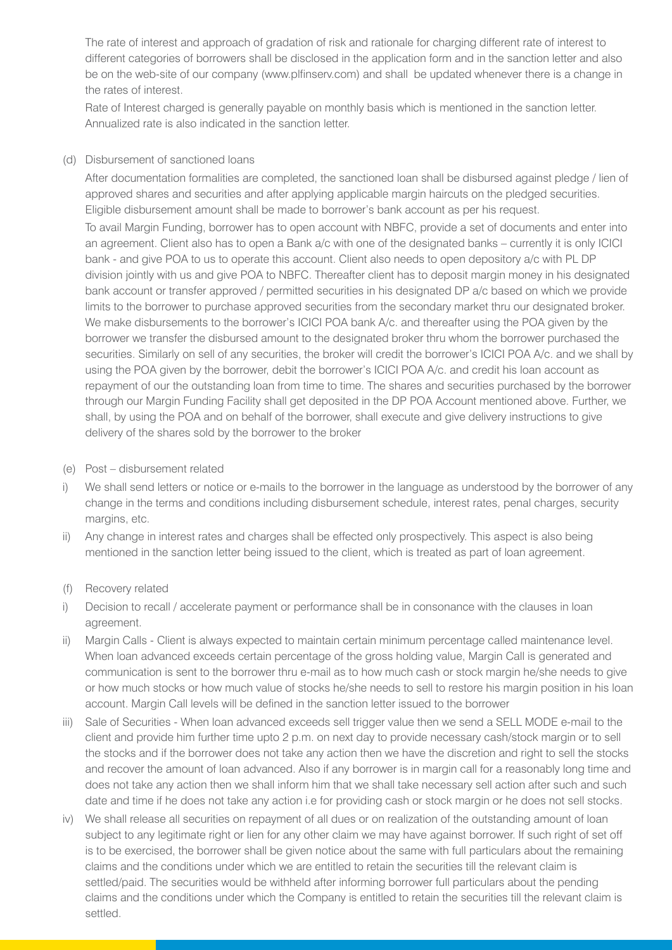The rate of interest and approach of gradation of risk and rationale for charging different rate of interest to different categories of borrowers shall be disclosed in the application form and in the sanction letter and also be on the web-site of our company (www.plfinserv.com) and shall be updated whenever there is a change in the rates of interest.

 Rate of Interest charged is generally payable on monthly basis which is mentioned in the sanction letter. Annualized rate is also indicated in the sanction letter.

#### (d) Disbursement of sanctioned loans

 After documentation formalities are completed, the sanctioned loan shall be disbursed against pledge / lien of approved shares and securities and after applying applicable margin haircuts on the pledged securities. Eligible disbursement amount shall be made to borrower's bank account as per his request.

 To avail Margin Funding, borrower has to open account with NBFC, provide a set of documents and enter into an agreement. Client also has to open a Bank a/c with one of the designated banks – currently it is only ICICI bank - and give POA to us to operate this account. Client also needs to open depository a/c with PL DP division jointly with us and give POA to NBFC. Thereafter client has to deposit margin money in his designated bank account or transfer approved / permitted securities in his designated DP a/c based on which we provide limits to the borrower to purchase approved securities from the secondary market thru our designated broker. We make disbursements to the borrower's ICICI POA bank A/c. and thereafter using the POA given by the borrower we transfer the disbursed amount to the designated broker thru whom the borrower purchased the securities. Similarly on sell of any securities, the broker will credit the borrower's ICICI POA A/c. and we shall by using the POA given by the borrower, debit the borrower's ICICI POA A/c. and credit his loan account as repayment of our the outstanding loan from time to time. The shares and securities purchased by the borrower through our Margin Funding Facility shall get deposited in the DP POA Account mentioned above. Further, we shall, by using the POA and on behalf of the borrower, shall execute and give delivery instructions to give delivery of the shares sold by the borrower to the broker

- (e) Post disbursement related
- i) We shall send letters or notice or e-mails to the borrower in the language as understood by the borrower of any change in the terms and conditions including disbursement schedule, interest rates, penal charges, security margins, etc.
- ii) Any change in interest rates and charges shall be effected only prospectively. This aspect is also being mentioned in the sanction letter being issued to the client, which is treated as part of loan agreement.
- (f) Recovery related
- i) Decision to recall / accelerate payment or performance shall be in consonance with the clauses in loan agreement.
- ii) Margin Calls Client is always expected to maintain certain minimum percentage called maintenance level. When loan advanced exceeds certain percentage of the gross holding value, Margin Call is generated and communication is sent to the borrower thru e-mail as to how much cash or stock margin he/she needs to give or how much stocks or how much value of stocks he/she needs to sell to restore his margin position in his loan account. Margin Call levels will be defined in the sanction letter issued to the borrower
- iii) Sale of Securities When loan advanced exceeds sell trigger value then we send a SELL MODE e-mail to the client and provide him further time upto 2 p.m. on next day to provide necessary cash/stock margin or to sell the stocks and if the borrower does not take any action then we have the discretion and right to sell the stocks and recover the amount of loan advanced. Also if any borrower is in margin call for a reasonably long time and does not take any action then we shall inform him that we shall take necessary sell action after such and such date and time if he does not take any action i.e for providing cash or stock margin or he does not sell stocks.
- iv) We shall release all securities on repayment of all dues or on realization of the outstanding amount of loan subject to any legitimate right or lien for any other claim we may have against borrower. If such right of set off is to be exercised, the borrower shall be given notice about the same with full particulars about the remaining claims and the conditions under which we are entitled to retain the securities till the relevant claim is settled/paid. The securities would be withheld after informing borrower full particulars about the pending claims and the conditions under which the Company is entitled to retain the securities till the relevant claim is settled.